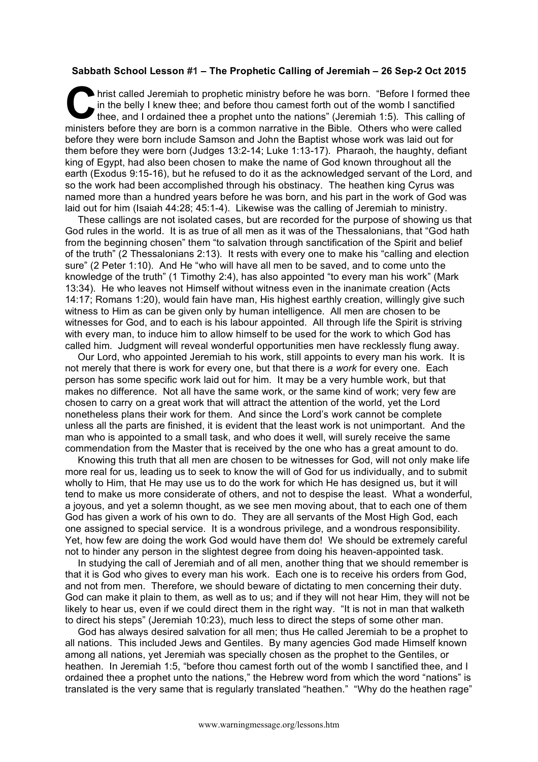## **Sabbath School Lesson #1 – The Prophetic Calling of Jeremiah – 26 Sep-2 Oct 2015**

hrist called Jeremiah to prophetic ministry before he was born. "Before I formed thee in the belly I knew thee; and before thou camest forth out of the womb I sanctified thee, and I ordained thee a prophet unto the nations" (Jeremiah 1:5). This calling of ministers before they are born is a common narrative in the Bible. Others who were called before they were born include Samson and John the Baptist whose work was laid out for them before they were born (Judges 13:2-14; Luke 1:13-17). Pharaoh, the haughty, defiant king of Egypt, had also been chosen to make the name of God known throughout all the earth (Exodus 9:15-16), but he refused to do it as the acknowledged servant of the Lord, and so the work had been accomplished through his obstinacy. The heathen king Cyrus was named more than a hundred years before he was born, and his part in the work of God was laid out for him (Isaiah 44:28; 45:1-4). Likewise was the calling of Jeremiah to ministry. C in t

These callings are not isolated cases, but are recorded for the purpose of showing us that God rules in the world. It is as true of all men as it was of the Thessalonians, that "God hath from the beginning chosen" them "to salvation through sanctification of the Spirit and belief of the truth" (2 Thessalonians 2:13). It rests with every one to make his "calling and election sure" (2 Peter 1:10). And He "who will have all men to be saved, and to come unto the knowledge of the truth" (1 Timothy 2:4), has also appointed "to every man his work" (Mark 13:34). He who leaves not Himself without witness even in the inanimate creation (Acts 14:17; Romans 1:20), would fain have man, His highest earthly creation, willingly give such witness to Him as can be given only by human intelligence. All men are chosen to be witnesses for God, and to each is his labour appointed. All through life the Spirit is striving with every man, to induce him to allow himself to be used for the work to which God has called him. Judgment will reveal wonderful opportunities men have recklessly flung away.

Our Lord, who appointed Jeremiah to his work, still appoints to every man his work. It is not merely that there is work for every one, but that there is *a work* for every one. Each person has some specific work laid out for him. It may be a very humble work, but that makes no difference. Not all have the same work, or the same kind of work; very few are chosen to carry on a great work that will attract the attention of the world, yet the Lord nonetheless plans their work for them. And since the Lord's work cannot be complete unless all the parts are finished, it is evident that the least work is not unimportant. And the man who is appointed to a small task, and who does it well, will surely receive the same commendation from the Master that is received by the one who has a great amount to do.

Knowing this truth that all men are chosen to be witnesses for God, will not only make life more real for us, leading us to seek to know the will of God for us individually, and to submit wholly to Him, that He may use us to do the work for which He has designed us, but it will tend to make us more considerate of others, and not to despise the least. What a wonderful, a joyous, and yet a solemn thought, as we see men moving about, that to each one of them God has given a work of his own to do. They are all servants of the Most High God, each one assigned to special service. It is a wondrous privilege, and a wondrous responsibility. Yet, how few are doing the work God would have them do! We should be extremely careful not to hinder any person in the slightest degree from doing his heaven-appointed task.

In studying the call of Jeremiah and of all men, another thing that we should remember is that it is God who gives to every man his work. Each one is to receive his orders from God, and not from men. Therefore, we should beware of dictating to men concerning their duty. God can make it plain to them, as well as to us; and if they will not hear Him, they will not be likely to hear us, even if we could direct them in the right way. "It is not in man that walketh to direct his steps" (Jeremiah 10:23), much less to direct the steps of some other man.

God has always desired salvation for all men; thus He called Jeremiah to be a prophet to all nations. This included Jews and Gentiles. By many agencies God made Himself known among all nations, yet Jeremiah was specially chosen as the prophet to the Gentiles, or heathen. In Jeremiah 1:5, "before thou camest forth out of the womb I sanctified thee, and I ordained thee a prophet unto the nations," the Hebrew word from which the word "nations" is translated is the very same that is regularly translated "heathen." "Why do the heathen rage"